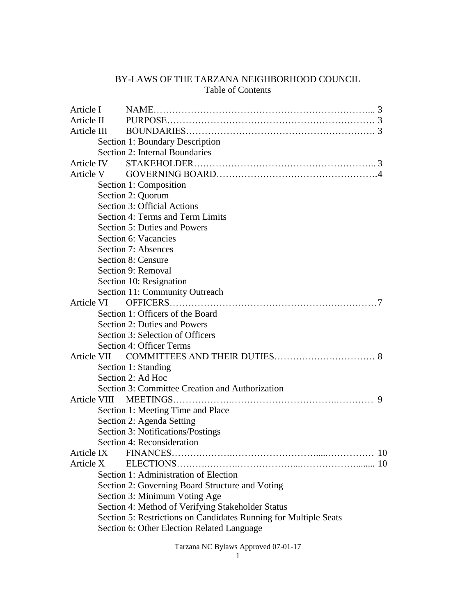# BY-LAWS OF THE TARZANA NEIGHBORHOOD COUNCIL Table of Contents

| Article I  |           |                                                                  |           |
|------------|-----------|------------------------------------------------------------------|-----------|
| Article II |           |                                                                  |           |
|            |           |                                                                  |           |
|            |           | Section 1: Boundary Description                                  |           |
|            |           | Section 2: Internal Boundaries                                   |           |
| Article IV |           |                                                                  |           |
|            | Article V |                                                                  |           |
|            |           | Section 1: Composition                                           |           |
|            |           | Section 2: Quorum                                                |           |
|            |           | Section 3: Official Actions                                      |           |
|            |           | Section 4: Terms and Term Limits                                 |           |
|            |           | <b>Section 5: Duties and Powers</b>                              |           |
|            |           | Section 6: Vacancies                                             |           |
|            |           | Section 7: Absences                                              |           |
|            |           | Section 8: Censure                                               |           |
|            |           | Section 9: Removal                                               |           |
|            |           | Section 10: Resignation                                          |           |
|            |           | Section 11: Community Outreach                                   |           |
|            |           |                                                                  |           |
|            |           | Section 1: Officers of the Board                                 |           |
|            |           | Section 2: Duties and Powers                                     |           |
|            |           | Section 3: Selection of Officers                                 |           |
|            |           | Section 4: Officer Terms                                         |           |
|            |           |                                                                  |           |
|            |           | Section 1: Standing                                              |           |
|            |           | Section 2: Ad Hoc                                                |           |
|            |           | Section 3: Committee Creation and Authorization                  |           |
|            |           | 9                                                                |           |
|            |           | Section 1: Meeting Time and Place                                |           |
|            |           | Section 2: Agenda Setting                                        |           |
|            |           | Section 3: Notifications/Postings                                |           |
|            |           | Section 4: Reconsideration                                       |           |
|            |           |                                                                  | <b>10</b> |
| Article X  |           |                                                                  |           |
|            |           | Section 1: Administration of Election                            |           |
|            |           | Section 2: Governing Board Structure and Voting                  |           |
|            |           | Section 3: Minimum Voting Age                                    |           |
|            |           | Section 4: Method of Verifying Stakeholder Status                |           |
|            |           | Section 5: Restrictions on Candidates Running for Multiple Seats |           |
|            |           | Section 6: Other Election Related Language                       |           |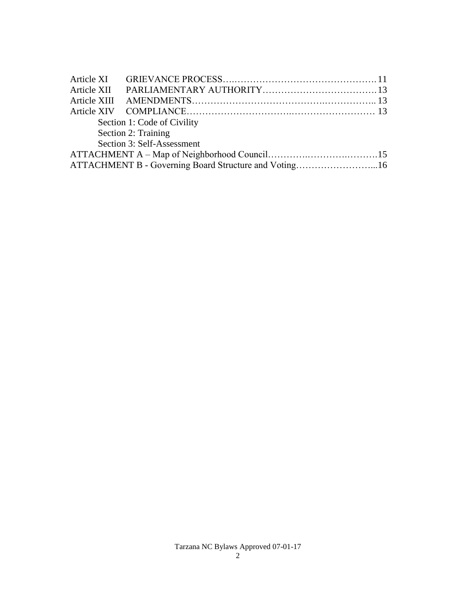|                     | Section 1: Code of Civility                           |  |  |  |  |  |  |
|---------------------|-------------------------------------------------------|--|--|--|--|--|--|
| Section 2: Training |                                                       |  |  |  |  |  |  |
|                     | Section 3: Self-Assessment                            |  |  |  |  |  |  |
|                     |                                                       |  |  |  |  |  |  |
|                     | ATTACHMENT B - Governing Board Structure and Voting16 |  |  |  |  |  |  |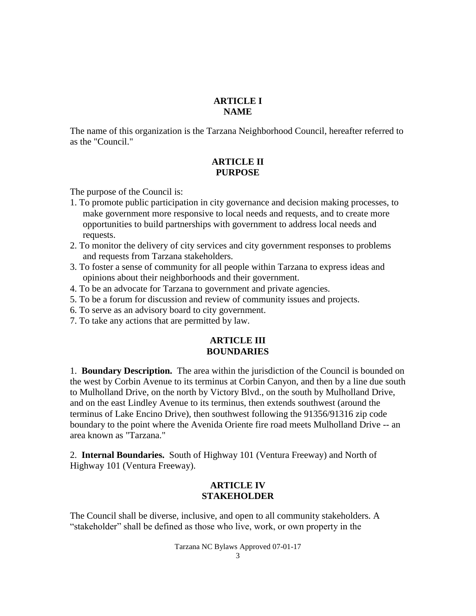#### **ARTICLE I NAME**

The name of this organization is the Tarzana Neighborhood Council, hereafter referred to as the "Council."

## **ARTICLE II PURPOSE**

The purpose of the Council is:

- 1. To promote public participation in city governance and decision making processes, to make government more responsive to local needs and requests, and to create more opportunities to build partnerships with government to address local needs and requests.
- 2. To monitor the delivery of city services and city government responses to problems and requests from Tarzana stakeholders.
- 3. To foster a sense of community for all people within Tarzana to express ideas and opinions about their neighborhoods and their government.
- 4. To be an advocate for Tarzana to government and private agencies.
- 5. To be a forum for discussion and review of community issues and projects.
- 6. To serve as an advisory board to city government.
- 7. To take any actions that are permitted by law.

## **ARTICLE III BOUNDARIES**

1. **Boundary Description.** The area within the jurisdiction of the Council is bounded on the west by Corbin Avenue to its terminus at Corbin Canyon, and then by a line due south to Mulholland Drive, on the north by Victory Blvd., on the south by Mulholland Drive, and on the east Lindley Avenue to its terminus, then extends southwest (around the terminus of Lake Encino Drive), then southwest following the 91356/91316 zip code boundary to the point where the Avenida Oriente fire road meets Mulholland Drive -- an area known as "Tarzana."

2. **Internal Boundaries.** South of Highway 101 (Ventura Freeway) and North of Highway 101 (Ventura Freeway).

### **ARTICLE IV STAKEHOLDER**

The Council shall be diverse, inclusive, and open to all community stakeholders. A "stakeholder" shall be defined as those who live, work, or own property in the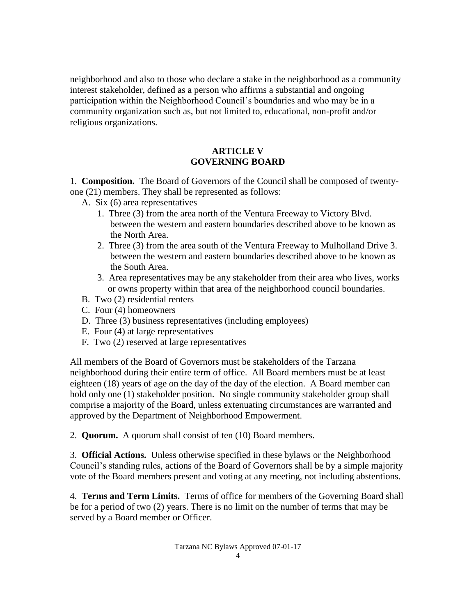neighborhood and also to those who declare a stake in the neighborhood as a community interest stakeholder, defined as a person who affirms a substantial and ongoing participation within the Neighborhood Council's boundaries and who may be in a community organization such as, but not limited to, educational, non-profit and/or religious organizations.

## **ARTICLE V GOVERNING BOARD**

1. **Composition.** The Board of Governors of the Council shall be composed of twentyone (21) members. They shall be represented as follows:

- A. Six (6) area representatives
	- 1. Three (3) from the area north of the Ventura Freeway to Victory Blvd. between the western and eastern boundaries described above to be known as the North Area.
	- 2. Three (3) from the area south of the Ventura Freeway to Mulholland Drive 3. between the western and eastern boundaries described above to be known as the South Area.
	- 3. Area representatives may be any stakeholder from their area who lives, works or owns property within that area of the neighborhood council boundaries.
- B. Two (2) residential renters
- C. Four (4) homeowners
- D. Three (3) business representatives (including employees)
- E. Four (4) at large representatives
- F. Two (2) reserved at large representatives

All members of the Board of Governors must be stakeholders of the Tarzana neighborhood during their entire term of office. All Board members must be at least eighteen (18) years of age on the day of the day of the election. A Board member can hold only one (1) stakeholder position. No single community stakeholder group shall comprise a majority of the Board, unless extenuating circumstances are warranted and approved by the Department of Neighborhood Empowerment.

2. **Quorum.** A quorum shall consist of ten (10) Board members.

3. **Official Actions.** Unless otherwise specified in these bylaws or the Neighborhood Council's standing rules, actions of the Board of Governors shall be by a simple majority vote of the Board members present and voting at any meeting, not including abstentions.

4. **Terms and Term Limits.** Terms of office for members of the Governing Board shall be for a period of two (2) years. There is no limit on the number of terms that may be served by a Board member or Officer.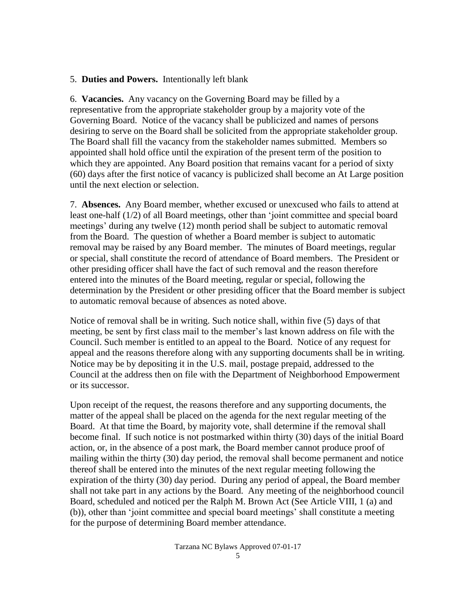#### 5. **Duties and Powers.** Intentionally left blank

6. **Vacancies.** Any vacancy on the Governing Board may be filled by a representative from the appropriate stakeholder group by a majority vote of the Governing Board. Notice of the vacancy shall be publicized and names of persons desiring to serve on the Board shall be solicited from the appropriate stakeholder group. The Board shall fill the vacancy from the stakeholder names submitted. Members so appointed shall hold office until the expiration of the present term of the position to which they are appointed. Any Board position that remains vacant for a period of sixty (60) days after the first notice of vacancy is publicized shall become an At Large position until the next election or selection.

7. **Absences.** Any Board member, whether excused or unexcused who fails to attend at least one-half (1/2) of all Board meetings, other than 'joint committee and special board meetings' during any twelve (12) month period shall be subject to automatic removal from the Board. The question of whether a Board member is subject to automatic removal may be raised by any Board member. The minutes of Board meetings, regular or special, shall constitute the record of attendance of Board members. The President or other presiding officer shall have the fact of such removal and the reason therefore entered into the minutes of the Board meeting, regular or special, following the determination by the President or other presiding officer that the Board member is subject to automatic removal because of absences as noted above.

Notice of removal shall be in writing. Such notice shall, within five (5) days of that meeting, be sent by first class mail to the member's last known address on file with the Council. Such member is entitled to an appeal to the Board. Notice of any request for appeal and the reasons therefore along with any supporting documents shall be in writing. Notice may be by depositing it in the U.S. mail, postage prepaid, addressed to the Council at the address then on file with the Department of Neighborhood Empowerment or its successor.

Upon receipt of the request, the reasons therefore and any supporting documents, the matter of the appeal shall be placed on the agenda for the next regular meeting of the Board. At that time the Board, by majority vote, shall determine if the removal shall become final. If such notice is not postmarked within thirty (30) days of the initial Board action, or, in the absence of a post mark, the Board member cannot produce proof of mailing within the thirty (30) day period, the removal shall become permanent and notice thereof shall be entered into the minutes of the next regular meeting following the expiration of the thirty (30) day period. During any period of appeal, the Board member shall not take part in any actions by the Board. Any meeting of the neighborhood council Board, scheduled and noticed per the Ralph M. Brown Act (See Article VIII, 1 (a) and (b)), other than 'joint committee and special board meetings' shall constitute a meeting for the purpose of determining Board member attendance.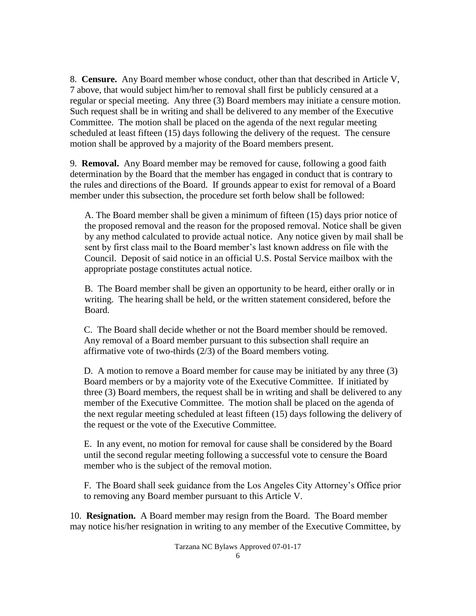8. **Censure.** Any Board member whose conduct, other than that described in Article V, 7 above, that would subject him/her to removal shall first be publicly censured at a regular or special meeting. Any three (3) Board members may initiate a censure motion. Such request shall be in writing and shall be delivered to any member of the Executive Committee. The motion shall be placed on the agenda of the next regular meeting scheduled at least fifteen (15) days following the delivery of the request. The censure motion shall be approved by a majority of the Board members present.

9. **Removal.** Any Board member may be removed for cause, following a good faith determination by the Board that the member has engaged in conduct that is contrary to the rules and directions of the Board. If grounds appear to exist for removal of a Board member under this subsection, the procedure set forth below shall be followed:

 A. The Board member shall be given a minimum of fifteen (15) days prior notice of the proposed removal and the reason for the proposed removal. Notice shall be given by any method calculated to provide actual notice. Any notice given by mail shall be sent by first class mail to the Board member's last known address on file with the Council. Deposit of said notice in an official U.S. Postal Service mailbox with the appropriate postage constitutes actual notice.

B. The Board member shall be given an opportunity to be heard, either orally or in writing. The hearing shall be held, or the written statement considered, before the Board.

C. The Board shall decide whether or not the Board member should be removed. Any removal of a Board member pursuant to this subsection shall require an affirmative vote of two-thirds (2/3) of the Board members voting.

D. A motion to remove a Board member for cause may be initiated by any three (3) Board members or by a majority vote of the Executive Committee. If initiated by three (3) Board members, the request shall be in writing and shall be delivered to any member of the Executive Committee. The motion shall be placed on the agenda of the next regular meeting scheduled at least fifteen (15) days following the delivery of the request or the vote of the Executive Committee.

E. In any event, no motion for removal for cause shall be considered by the Board until the second regular meeting following a successful vote to censure the Board member who is the subject of the removal motion.

 F. The Board shall seek guidance from the Los Angeles City Attorney's Office prior to removing any Board member pursuant to this Article V.

10. **Resignation.** A Board member may resign from the Board. The Board member may notice his/her resignation in writing to any member of the Executive Committee, by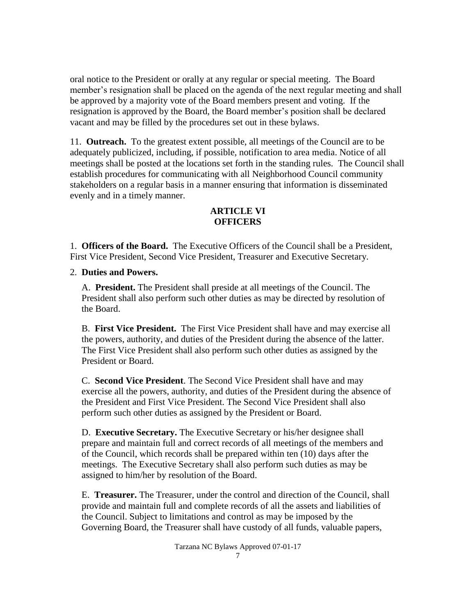oral notice to the President or orally at any regular or special meeting. The Board member's resignation shall be placed on the agenda of the next regular meeting and shall be approved by a majority vote of the Board members present and voting. If the resignation is approved by the Board, the Board member's position shall be declared vacant and may be filled by the procedures set out in these bylaws.

11. **Outreach.** To the greatest extent possible, all meetings of the Council are to be adequately publicized, including, if possible, notification to area media. Notice of all meetings shall be posted at the locations set forth in the standing rules. The Council shall establish procedures for communicating with all Neighborhood Council community stakeholders on a regular basis in a manner ensuring that information is disseminated evenly and in a timely manner.

# **ARTICLE VI OFFICERS**

1. **Officers of the Board.** The Executive Officers of the Council shall be a President, First Vice President, Second Vice President, Treasurer and Executive Secretary.

2. **Duties and Powers.**

 A. **President.** The President shall preside at all meetings of the Council. The President shall also perform such other duties as may be directed by resolution of the Board.

 B. **First Vice President.** The First Vice President shall have and may exercise all the powers, authority, and duties of the President during the absence of the latter. The First Vice President shall also perform such other duties as assigned by the President or Board.

 C. **Second Vice President**. The Second Vice President shall have and may exercise all the powers, authority, and duties of the President during the absence of the President and First Vice President. The Second Vice President shall also perform such other duties as assigned by the President or Board.

 D. **Executive Secretary.** The Executive Secretary or his/her designee shall prepare and maintain full and correct records of all meetings of the members and of the Council, which records shall be prepared within ten (10) days after the meetings. The Executive Secretary shall also perform such duties as may be assigned to him/her by resolution of the Board.

 E. **Treasurer.** The Treasurer, under the control and direction of the Council, shall provide and maintain full and complete records of all the assets and liabilities of the Council. Subject to limitations and control as may be imposed by the Governing Board, the Treasurer shall have custody of all funds, valuable papers,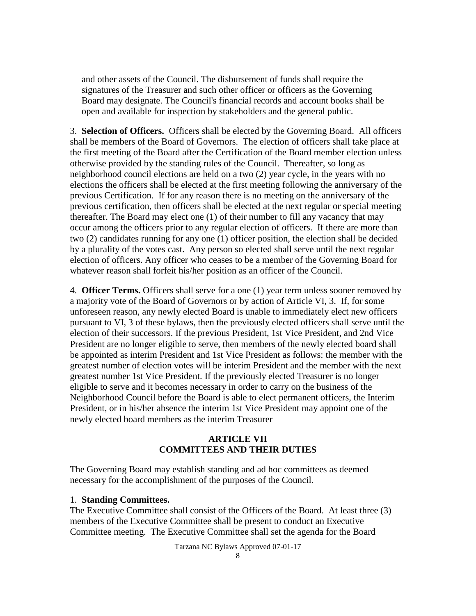and other assets of the Council. The disbursement of funds shall require the signatures of the Treasurer and such other officer or officers as the Governing Board may designate. The Council's financial records and account books shall be open and available for inspection by stakeholders and the general public.

3. **Selection of Officers.** Officers shall be elected by the Governing Board. All officers shall be members of the Board of Governors. The election of officers shall take place at the first meeting of the Board after the Certification of the Board member election unless otherwise provided by the standing rules of the Council. Thereafter, so long as neighborhood council elections are held on a two (2) year cycle, in the years with no elections the officers shall be elected at the first meeting following the anniversary of the previous Certification. If for any reason there is no meeting on the anniversary of the previous certification, then officers shall be elected at the next regular or special meeting thereafter. The Board may elect one (1) of their number to fill any vacancy that may occur among the officers prior to any regular election of officers. If there are more than two (2) candidates running for any one (1) officer position, the election shall be decided by a plurality of the votes cast. Any person so elected shall serve until the next regular election of officers. Any officer who ceases to be a member of the Governing Board for whatever reason shall forfeit his/her position as an officer of the Council.

4. **Officer Terms.** Officers shall serve for a one (1) year term unless sooner removed by a majority vote of the Board of Governors or by action of Article VI, 3. If, for some unforeseen reason, any newly elected Board is unable to immediately elect new officers pursuant to VI, 3 of these bylaws, then the previously elected officers shall serve until the election of their successors. If the previous President, 1st Vice President, and 2nd Vice President are no longer eligible to serve, then members of the newly elected board shall be appointed as interim President and 1st Vice President as follows: the member with the greatest number of election votes will be interim President and the member with the next greatest number 1st Vice President. If the previously elected Treasurer is no longer eligible to serve and it becomes necessary in order to carry on the business of the Neighborhood Council before the Board is able to elect permanent officers, the Interim President, or in his/her absence the interim 1st Vice President may appoint one of the newly elected board members as the interim Treasurer

#### **ARTICLE VII COMMITTEES AND THEIR DUTIES**

The Governing Board may establish standing and ad hoc committees as deemed necessary for the accomplishment of the purposes of the Council.

#### 1. **Standing Committees.**

The Executive Committee shall consist of the Officers of the Board. At least three (3) members of the Executive Committee shall be present to conduct an Executive Committee meeting. The Executive Committee shall set the agenda for the Board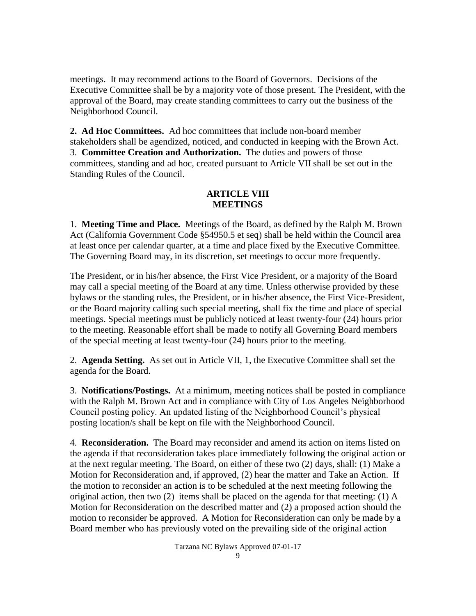meetings. It may recommend actions to the Board of Governors. Decisions of the Executive Committee shall be by a majority vote of those present. The President, with the approval of the Board, may create standing committees to carry out the business of the Neighborhood Council.

**2. Ad Hoc Committees.** Ad hoc committees that include non-board member stakeholders shall be agendized, noticed, and conducted in keeping with the Brown Act. 3. **Committee Creation and Authorization.** The duties and powers of those committees, standing and ad hoc, created pursuant to Article VII shall be set out in the Standing Rules of the Council.

## **ARTICLE VIII MEETINGS**

1. **Meeting Time and Place.** Meetings of the Board, as defined by the Ralph M. Brown Act (California Government Code §54950.5 et seq) shall be held within the Council area at least once per calendar quarter, at a time and place fixed by the Executive Committee. The Governing Board may, in its discretion, set meetings to occur more frequently.

The President, or in his/her absence, the First Vice President, or a majority of the Board may call a special meeting of the Board at any time. Unless otherwise provided by these bylaws or the standing rules, the President, or in his/her absence, the First Vice-President, or the Board majority calling such special meeting, shall fix the time and place of special meetings. Special meetings must be publicly noticed at least twenty-four (24) hours prior to the meeting. Reasonable effort shall be made to notify all Governing Board members of the special meeting at least twenty-four (24) hours prior to the meeting.

2. **Agenda Setting.** As set out in Article VII, 1, the Executive Committee shall set the agenda for the Board.

3. **Notifications/Postings.** At a minimum, meeting notices shall be posted in compliance with the Ralph M. Brown Act and in compliance with City of Los Angeles Neighborhood Council posting policy. An updated listing of the Neighborhood Council's physical posting location/s shall be kept on file with the Neighborhood Council.

4. **Reconsideration.** The Board may reconsider and amend its action on items listed on the agenda if that reconsideration takes place immediately following the original action or at the next regular meeting. The Board, on either of these two (2) days, shall: (1) Make a Motion for Reconsideration and, if approved, (2) hear the matter and Take an Action. If the motion to reconsider an action is to be scheduled at the next meeting following the original action, then two (2) items shall be placed on the agenda for that meeting: (1) A Motion for Reconsideration on the described matter and (2) a proposed action should the motion to reconsider be approved. A Motion for Reconsideration can only be made by a Board member who has previously voted on the prevailing side of the original action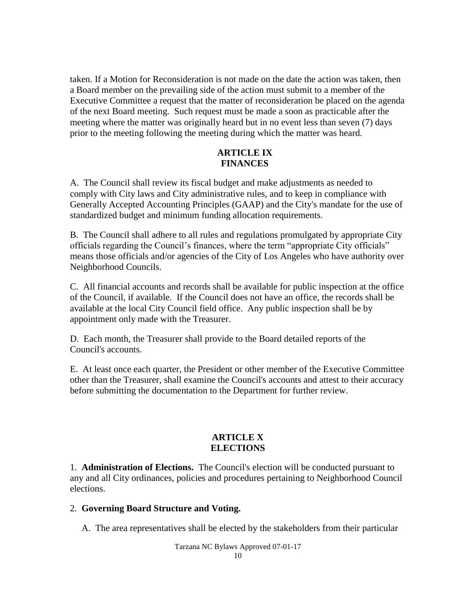taken. If a Motion for Reconsideration is not made on the date the action was taken, then a Board member on the prevailing side of the action must submit to a member of the Executive Committee a request that the matter of reconsideration be placed on the agenda of the next Board meeting. Such request must be made a soon as practicable after the meeting where the matter was originally heard but in no event less than seven (7) days prior to the meeting following the meeting during which the matter was heard.

#### **ARTICLE IX FINANCES**

A. The Council shall review its fiscal budget and make adjustments as needed to comply with City laws and City administrative rules, and to keep in compliance with Generally Accepted Accounting Principles (GAAP) and the City's mandate for the use of standardized budget and minimum funding allocation requirements.

B. The Council shall adhere to all rules and regulations promulgated by appropriate City officials regarding the Council's finances, where the term "appropriate City officials" means those officials and/or agencies of the City of Los Angeles who have authority over Neighborhood Councils.

C. All financial accounts and records shall be available for public inspection at the office of the Council, if available. If the Council does not have an office, the records shall be available at the local City Council field office. Any public inspection shall be by appointment only made with the Treasurer.

D. Each month, the Treasurer shall provide to the Board detailed reports of the Council's accounts.

E. At least once each quarter, the President or other member of the Executive Committee other than the Treasurer, shall examine the Council's accounts and attest to their accuracy before submitting the documentation to the Department for further review.

### **ARTICLE X ELECTIONS**

1. **Administration of Elections.** The Council's election will be conducted pursuant to any and all City ordinances, policies and procedures pertaining to Neighborhood Council elections.

### 2. **Governing Board Structure and Voting.**

A. The area representatives shall be elected by the stakeholders from their particular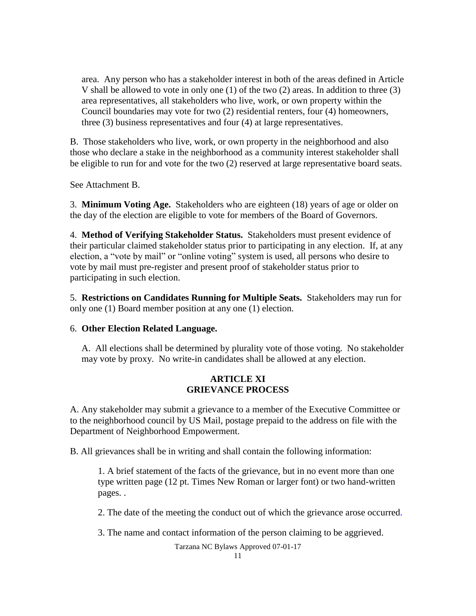area. Any person who has a stakeholder interest in both of the areas defined in Article V shall be allowed to vote in only one (1) of the two (2) areas. In addition to three (3) area representatives, all stakeholders who live, work, or own property within the Council boundaries may vote for two (2) residential renters, four (4) homeowners, three (3) business representatives and four (4) at large representatives.

B. Those stakeholders who live, work, or own property in the neighborhood and also those who declare a stake in the neighborhood as a community interest stakeholder shall be eligible to run for and vote for the two (2) reserved at large representative board seats.

See Attachment B.

3. **Minimum Voting Age.** Stakeholders who are eighteen (18) years of age or older on the day of the election are eligible to vote for members of the Board of Governors.

4. **Method of Verifying Stakeholder Status.** Stakeholders must present evidence of their particular claimed stakeholder status prior to participating in any election. If, at any election, a "vote by mail" or "online voting" system is used, all persons who desire to vote by mail must pre-register and present proof of stakeholder status prior to participating in such election.

5. **Restrictions on Candidates Running for Multiple Seats.** Stakeholders may run for only one (1) Board member position at any one (1) election.

#### 6. **Other Election Related Language.**

 A. All elections shall be determined by plurality vote of those voting. No stakeholder may vote by proxy. No write-in candidates shall be allowed at any election.

#### **ARTICLE XI GRIEVANCE PROCESS**

A. Any stakeholder may submit a grievance to a member of the Executive Committee or to the neighborhood council by US Mail, postage prepaid to the address on file with the Department of Neighborhood Empowerment.

B. All grievances shall be in writing and shall contain the following information:

1. A brief statement of the facts of the grievance, but in no event more than one type written page (12 pt. Times New Roman or larger font) or two hand-written pages. .

2. The date of the meeting the conduct out of which the grievance arose occurred.

3. The name and contact information of the person claiming to be aggrieved.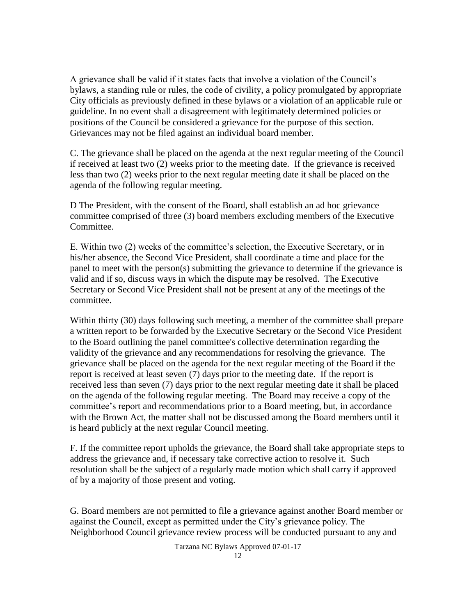A grievance shall be valid if it states facts that involve a violation of the Council's bylaws, a standing rule or rules, the code of civility, a policy promulgated by appropriate City officials as previously defined in these bylaws or a violation of an applicable rule or guideline. In no event shall a disagreement with legitimately determined policies or positions of the Council be considered a grievance for the purpose of this section. Grievances may not be filed against an individual board member.

C. The grievance shall be placed on the agenda at the next regular meeting of the Council if received at least two (2) weeks prior to the meeting date. If the grievance is received less than two (2) weeks prior to the next regular meeting date it shall be placed on the agenda of the following regular meeting.

D The President, with the consent of the Board, shall establish an ad hoc grievance committee comprised of three (3) board members excluding members of the Executive Committee.

E. Within two (2) weeks of the committee's selection, the Executive Secretary, or in his/her absence, the Second Vice President, shall coordinate a time and place for the panel to meet with the person(s) submitting the grievance to determine if the grievance is valid and if so, discuss ways in which the dispute may be resolved. The Executive Secretary or Second Vice President shall not be present at any of the meetings of the committee.

Within thirty (30) days following such meeting, a member of the committee shall prepare a written report to be forwarded by the Executive Secretary or the Second Vice President to the Board outlining the panel committee's collective determination regarding the validity of the grievance and any recommendations for resolving the grievance. The grievance shall be placed on the agenda for the next regular meeting of the Board if the report is received at least seven (7) days prior to the meeting date. If the report is received less than seven (7) days prior to the next regular meeting date it shall be placed on the agenda of the following regular meeting. The Board may receive a copy of the committee's report and recommendations prior to a Board meeting, but, in accordance with the Brown Act, the matter shall not be discussed among the Board members until it is heard publicly at the next regular Council meeting.

F. If the committee report upholds the grievance, the Board shall take appropriate steps to address the grievance and, if necessary take corrective action to resolve it. Such resolution shall be the subject of a regularly made motion which shall carry if approved of by a majority of those present and voting.

G. Board members are not permitted to file a grievance against another Board member or against the Council, except as permitted under the City's grievance policy. The Neighborhood Council grievance review process will be conducted pursuant to any and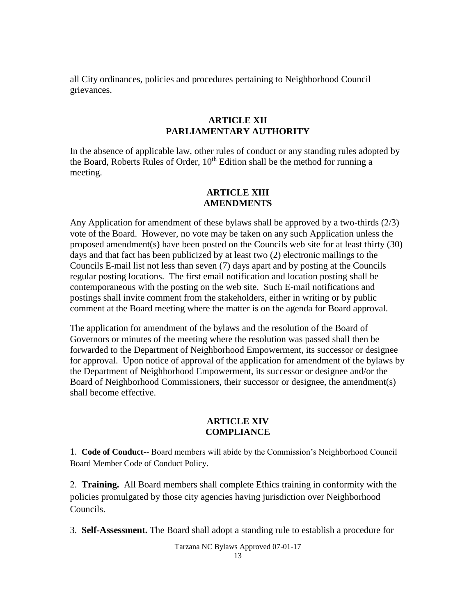all City ordinances, policies and procedures pertaining to Neighborhood Council grievances.

### **ARTICLE XII PARLIAMENTARY AUTHORITY**

In the absence of applicable law, other rules of conduct or any standing rules adopted by the Board, Roberts Rules of Order,  $10<sup>th</sup>$  Edition shall be the method for running a meeting.

## **ARTICLE XIII AMENDMENTS**

Any Application for amendment of these bylaws shall be approved by a two-thirds (2/3) vote of the Board. However, no vote may be taken on any such Application unless the proposed amendment(s) have been posted on the Councils web site for at least thirty (30) days and that fact has been publicized by at least two (2) electronic mailings to the Councils E-mail list not less than seven (7) days apart and by posting at the Councils regular posting locations. The first email notification and location posting shall be contemporaneous with the posting on the web site. Such E-mail notifications and postings shall invite comment from the stakeholders, either in writing or by public comment at the Board meeting where the matter is on the agenda for Board approval.

The application for amendment of the bylaws and the resolution of the Board of Governors or minutes of the meeting where the resolution was passed shall then be forwarded to the Department of Neighborhood Empowerment, its successor or designee for approval. Upon notice of approval of the application for amendment of the bylaws by the Department of Neighborhood Empowerment, its successor or designee and/or the Board of Neighborhood Commissioners, their successor or designee, the amendment(s) shall become effective.

#### **ARTICLE XIV COMPLIANCE**

1. **Code of Conduct-**- Board members will abide by the Commission's Neighborhood Council Board Member Code of Conduct Policy.

2. **Training.** All Board members shall complete Ethics training in conformity with the policies promulgated by those city agencies having jurisdiction over Neighborhood Councils.

3. **Self-Assessment.** The Board shall adopt a standing rule to establish a procedure for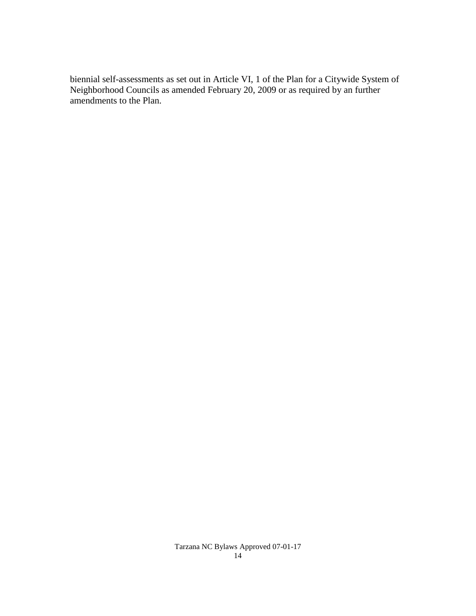biennial self-assessments as set out in Article VI, 1 of the Plan for a Citywide System of Neighborhood Councils as amended February 20, 2009 or as required by an further amendments to the Plan.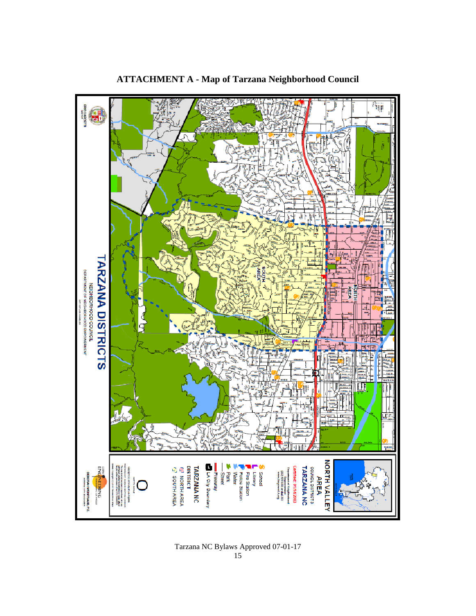

# **ATTACHMENT A - Map of Tarzana Neighborhood Council**

Tarzana NC Bylaws Approved 07-01-17 15